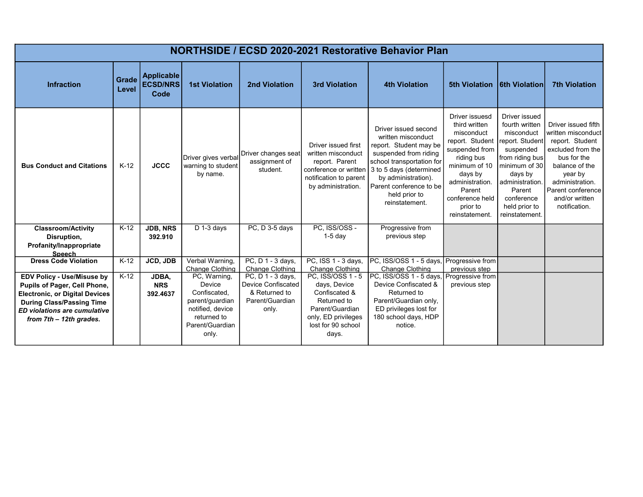| NORTHSIDE / ECSD 2020-2021 Restorative Behavior Plan                                                                                                                                                      |                |                                              |                                                                                                                          |                                                                                             |                                                                                                                                            |                                                                                                                                                                                                                                            |                                                                                                                                                                                                            |                                                                                                                                                                                                            |                                                                                                                                                                                                          |
|-----------------------------------------------------------------------------------------------------------------------------------------------------------------------------------------------------------|----------------|----------------------------------------------|--------------------------------------------------------------------------------------------------------------------------|---------------------------------------------------------------------------------------------|--------------------------------------------------------------------------------------------------------------------------------------------|--------------------------------------------------------------------------------------------------------------------------------------------------------------------------------------------------------------------------------------------|------------------------------------------------------------------------------------------------------------------------------------------------------------------------------------------------------------|------------------------------------------------------------------------------------------------------------------------------------------------------------------------------------------------------------|----------------------------------------------------------------------------------------------------------------------------------------------------------------------------------------------------------|
| <b>Infraction</b>                                                                                                                                                                                         | Grade<br>Level | <b>Applicable</b><br><b>ECSD/NRS</b><br>Code | <b>1st Violation</b>                                                                                                     | 2nd Violation                                                                               | <b>3rd Violation</b>                                                                                                                       | <b>4th Violation</b>                                                                                                                                                                                                                       | 5th Violation   6th Violation                                                                                                                                                                              |                                                                                                                                                                                                            | <b>7th Violation</b>                                                                                                                                                                                     |
| <b>Bus Conduct and Citations</b>                                                                                                                                                                          | $K-12$         | <b>JCCC</b>                                  | Driver gives verbal<br>warning to student<br>by name.                                                                    | Driver changes seat<br>assignment of<br>student.                                            | Driver issued first<br>written misconduct<br>report. Parent<br>conference or written<br>notification to parent<br>by administration.       | Driver issued second<br>written misconduct<br>report. Student may be<br>suspended from riding<br>school transportation for<br>3 to 5 days (determined<br>by administration).<br>Parent conference to be<br>held prior to<br>reinstatement. | Driver issuesd<br>third written<br>misconduct<br>report. Student<br>suspended from<br>riding bus<br>minimum of 10<br>days by<br>administration.<br>Parent<br>conference held<br>prior to<br>reinstatement. | Driver issued<br>fourth written<br>misconduct<br>report. Student<br>suspended<br>from riding bus<br>minimum of 30<br>days by<br>administration.<br>Parent<br>conference<br>held prior to<br>reinstatement. | Driver issued fifth<br>written misconduct<br>report. Student<br>excluded from the<br>bus for the<br>balance of the<br>year by<br>administration.<br>Parent conference<br>and/or written<br>notification. |
| <b>Classroom/Activity</b><br>Disruption,<br>Profanity/Inappropriate<br><b>Speech</b>                                                                                                                      | $K-12$         | <b>JDB, NRS</b><br>392.910                   | D 1-3 days                                                                                                               | PC, D 3-5 days                                                                              | PC, ISS/OSS -<br>$1-5$ day                                                                                                                 | Progressive from<br>previous step                                                                                                                                                                                                          |                                                                                                                                                                                                            |                                                                                                                                                                                                            |                                                                                                                                                                                                          |
| <b>Dress Code Violation</b>                                                                                                                                                                               | $K-12$         | JCD, JDB                                     | Verbal Warning,<br>Change Clothing                                                                                       | PC, D 1 - 3 days,<br>Change Clothing                                                        | PC, ISS 1 - 3 days,<br>Change Clothing                                                                                                     | PC, ISS/OSS 1 - 5 days,<br>Change Clothing                                                                                                                                                                                                 | Progressive from<br>previous step                                                                                                                                                                          |                                                                                                                                                                                                            |                                                                                                                                                                                                          |
| <b>EDV Policy - Use/Misuse by</b><br>Pupils of Pager, Cell Phone,<br><b>Electronic, or Digital Devices</b><br><b>During Class/Passing Time</b><br>ED violations are cumulative<br>from 7th - 12th grades. | $K-12$         | JDBA,<br><b>NRS</b><br>392.4637              | PC, Warning,<br>Device<br>Confiscated,<br>parent/guardian<br>notified, device<br>returned to<br>Parent/Guardian<br>only. | PC, D 1 - 3 days,<br><b>Device Confiscated</b><br>& Returned to<br>Parent/Guardian<br>only. | PC, ISS/OSS 1 - 5<br>days, Device<br>Confiscated &<br>Returned to<br>Parent/Guardian<br>only, ED privileges<br>lost for 90 school<br>days. | PC, ISS/OSS 1 - 5 days,<br>Device Confiscated &<br>Returned to<br>Parent/Guardian only,<br>ED privileges lost for<br>180 school days, HDP<br>notice.                                                                                       | Progressive from<br>previous step                                                                                                                                                                          |                                                                                                                                                                                                            |                                                                                                                                                                                                          |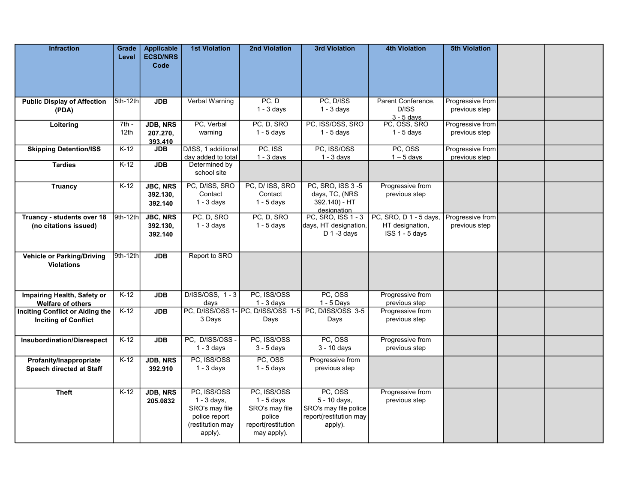| <b>Infraction</b>                                                     | Grade<br>Level              | <b>Applicable</b><br><b>ECSD/NRS</b><br>Code | <b>1st Violation</b>                                                                           | 2nd Violation                                                                                | <b>3rd Violation</b>                                                                  | <b>4th Violation</b>                                        | <b>5th Violation</b>              |  |
|-----------------------------------------------------------------------|-----------------------------|----------------------------------------------|------------------------------------------------------------------------------------------------|----------------------------------------------------------------------------------------------|---------------------------------------------------------------------------------------|-------------------------------------------------------------|-----------------------------------|--|
| <b>Public Display of Affection</b><br>(PDA)                           | 5th-12th                    | <b>JDB</b>                                   | Verbal Warning                                                                                 | PC, D<br>$1 - 3$ days                                                                        | PC, D/ISS<br>$1 - 3$ days                                                             | Parent Conference.<br>D/ISS<br>$3 - 5$ davs                 | Progressive from<br>previous step |  |
| Loitering                                                             | $7th -$<br>12 <sub>th</sub> | <b>JDB, NRS</b><br>207.270,<br>393.410       | PC, Verbal<br>warning                                                                          | PC, D, SRO<br>$1 - 5$ days                                                                   | PC, ISS/OSS, SRO<br>$1 - 5$ days                                                      | PC, OSS, SRO<br>$1 - 5$ days                                | Progressive from<br>previous step |  |
| <b>Skipping Detention/ISS</b>                                         | $K-12$                      | <b>JDB</b>                                   | D/ISS, 1 additional<br>day added to total                                                      | PC, ISS<br>$1 - 3$ days                                                                      | PC, ISS/OSS<br>$1 - 3$ days                                                           | PC, OSS<br>$1 - 5$ days                                     | Progressive from<br>previous step |  |
| <b>Tardies</b>                                                        | $K-12$                      | <b>JDB</b>                                   | Determined by<br>school site                                                                   |                                                                                              |                                                                                       |                                                             |                                   |  |
| <b>Truancy</b>                                                        | $K-12$                      | <b>JBC, NRS</b><br>392.130,<br>392.140       | PC, D/ISS, SRO<br>Contact<br>$1 - 3$ days                                                      | PC, D/ ISS, SRO<br>Contact<br>$1 - 5$ days                                                   | PC, SRO, ISS 3-5<br>days, TC, (NRS<br>392.140) - HT                                   | Progressive from<br>previous step                           |                                   |  |
| Truancy - students over 18<br>(no citations issued)                   | 9th-12th                    | <b>JBC, NRS</b><br>392.130,<br>392.140       | PC, D, SRO<br>$1 - 3$ days                                                                     | PC, D, SRO<br>$1 - 5$ days                                                                   | designation<br>PC, SRO, ISS 1 - 3<br>days, HT designation,<br>$D$ 1 -3 days           | PC, SRO, D 1 - 5 days,<br>HT designation,<br>ISS 1 - 5 days | Progressive from<br>previous step |  |
| <b>Vehicle or Parking/Driving</b><br><b>Violations</b>                | 9th-12th                    | <b>JDB</b>                                   | Report to SRO                                                                                  |                                                                                              |                                                                                       |                                                             |                                   |  |
| Impairing Health, Safety or<br><b>Welfare of others</b>               | $K-12$                      | <b>JDB</b>                                   | D/ISS/OSS, 1-3<br>days                                                                         | PC. ISS/OSS<br>$1 - 3$ days                                                                  | PC, OSS<br>$1 - 5$ Days                                                               | Progressive from<br>previous step                           |                                   |  |
| <b>Inciting Conflict or Aiding the</b><br><b>Inciting of Conflict</b> | $K-12$                      | <b>JDB</b>                                   | 3 Days                                                                                         | PC, D/ISS/OSS 1- PC, D/ISS/OSS 1-5<br>Days                                                   | PC, D/ISS/OSS 3-5<br>Days                                                             | Progressive from<br>previous step                           |                                   |  |
| <b>Insubordination/Disrespect</b>                                     | $K-12$                      | <b>JDB</b>                                   | PC, D/ISS/OSS -<br>$1 - 3$ days                                                                | PC, ISS/OSS<br>$3 - 5$ days                                                                  | PC, OSS<br>$3 - 10$ days                                                              | Progressive from<br>previous step                           |                                   |  |
| Profanity/Inappropriate<br>Speech directed at Staff                   | $K-12$                      | <b>JDB, NRS</b><br>392.910                   | PC, ISS/OSS<br>$1 - 3$ days                                                                    | PC, OSS<br>$1 - 5$ days                                                                      | Progressive from<br>previous step                                                     |                                                             |                                   |  |
| <b>Theft</b>                                                          | $K-12$                      | <b>JDB, NRS</b><br>205.0832                  | PC, ISS/OSS<br>$1 - 3$ days,<br>SRO's may file<br>police report<br>(restitution may<br>apply). | PC, ISS/OSS<br>$1 - 5$ days<br>SRO's may file<br>police<br>report(restitution<br>may apply). | PC, OSS<br>5 - 10 days,<br>SRO's may file police<br>report(restitution may<br>apply). | Progressive from<br>previous step                           |                                   |  |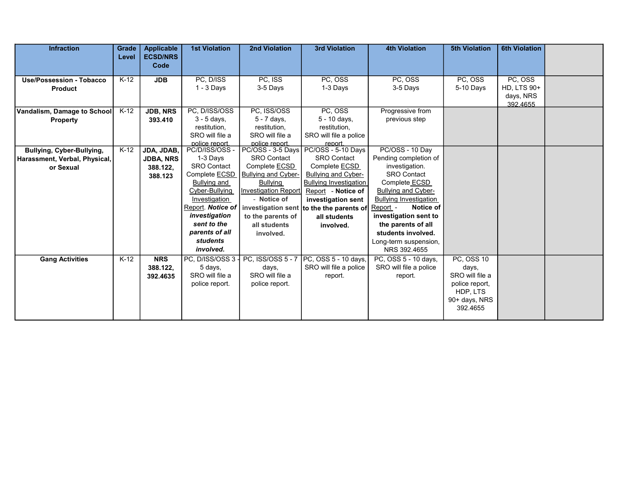| <b>Infraction</b>                                                       | Grade<br>Level | <b>Applicable</b><br><b>ECSD/NRS</b><br>Code          | <b>1st Violation</b>                                                                                                                                                                                                       | 2nd Violation                                                                                                                                                                                      | <b>3rd Violation</b>                                                                                                                                                                                                                          | <b>4th Violation</b>                                                                                                                                                                                                                                                                                    | <b>5th Violation</b>                                                                                     | <b>6th Violation</b>                                   |  |
|-------------------------------------------------------------------------|----------------|-------------------------------------------------------|----------------------------------------------------------------------------------------------------------------------------------------------------------------------------------------------------------------------------|----------------------------------------------------------------------------------------------------------------------------------------------------------------------------------------------------|-----------------------------------------------------------------------------------------------------------------------------------------------------------------------------------------------------------------------------------------------|---------------------------------------------------------------------------------------------------------------------------------------------------------------------------------------------------------------------------------------------------------------------------------------------------------|----------------------------------------------------------------------------------------------------------|--------------------------------------------------------|--|
| <b>Use/Possession - Tobacco</b><br><b>Product</b>                       | $K-12$         | <b>JDB</b>                                            | PC, D/ISS<br>$1 - 3$ Days                                                                                                                                                                                                  | PC, ISS<br>3-5 Days                                                                                                                                                                                | PC, OSS<br>1-3 Days                                                                                                                                                                                                                           | PC, OSS<br>3-5 Days                                                                                                                                                                                                                                                                                     | PC, OSS<br>5-10 Days                                                                                     | PC, OSS<br><b>HD, LTS 90+</b><br>days, NRS<br>392.4655 |  |
| Vandalism, Damage to School<br>Property                                 | $K-12$         | <b>JDB, NRS</b><br>393.410                            | PC, D/ISS/OSS<br>$3 - 5$ days,<br>restitution,<br>SRO will file a<br>police report.                                                                                                                                        | PC, ISS/OSS<br>$5 - 7$ days,<br>restitution,<br>SRO will file a<br>police report.                                                                                                                  | PC. OSS<br>5 - 10 days,<br>restitution,<br>SRO will file a police<br>report.                                                                                                                                                                  | Progressive from<br>previous step                                                                                                                                                                                                                                                                       |                                                                                                          |                                                        |  |
| Bullying, Cyber-Bullying,<br>Harassment, Verbal, Physical,<br>or Sexual | $K-12$         | JDA, JDAB,<br><b>JDBA, NRS</b><br>388.122,<br>388.123 | PC/D/ISS/OSS-<br>1-3 Days<br><b>SRO Contact</b><br>Complete <b>ECSD</b><br>Bullying and<br>Cyber-Bullying<br>Investigation<br>Report. Notice of<br>investigation<br>sent to the<br>parents of all<br>students<br>involved. | PC/OSS - 3-5 Days<br><b>SRO Contact</b><br>Complete ECSD<br><b>Bullying and Cyber-</b><br><b>Bullying</b><br>Investigation Report<br>- Notice of<br>to the parents of<br>all students<br>involved. | PC/OSS - 5-10 Days<br><b>SRO Contact</b><br>Complete ECSD<br><b>Bullying and Cyber-</b><br><b>Bullying Investigation</b><br>Report - Notice of<br>investigation sent<br>investigation sent to the the parents of<br>all students<br>involved. | PC/OSS - 10 Day<br>Pending completion of<br>investigation.<br><b>SRO Contact</b><br>Complete ECSD<br><b>Bullying and Cyber-</b><br><b>Bullying Investigation</b><br>Notice of<br>Report -<br>investigation sent to<br>the parents of all<br>students involved.<br>Long-term suspension,<br>NRS 392.4655 |                                                                                                          |                                                        |  |
| <b>Gang Activities</b>                                                  | $K-12$         | <b>NRS</b><br>388.122,<br>392.4635                    | PC, D/ISS/OSS 3<br>5 days,<br>SRO will file a<br>police report.                                                                                                                                                            | PC, ISS/OSS 5 - 7<br>days,<br>SRO will file a<br>police report.                                                                                                                                    | PC, OSS 5 - 10 days,<br>SRO will file a police<br>report.                                                                                                                                                                                     | PC, OSS 5 - 10 days,<br>SRO will file a police<br>report.                                                                                                                                                                                                                                               | <b>PC, OSS 10</b><br>days,<br>SRO will file a<br>police report,<br>HDP, LTS<br>90+ days, NRS<br>392.4655 |                                                        |  |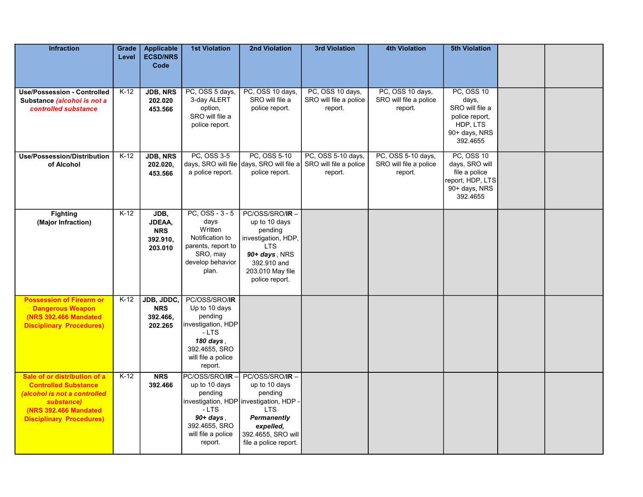| <b>Infraction</b>                                                                                                                                                     | Grade<br>Level | <b>Applicable</b><br><b>ECSD/NRS</b><br>Code        | <b>1st Violation</b>                                                                                                                    | 2nd Violation                                                                                                                                                                  | <b>3rd Violation</b>                                    | <b>4th Violation</b>                                    | <b>5th Violation</b>                                                                                     |  |
|-----------------------------------------------------------------------------------------------------------------------------------------------------------------------|----------------|-----------------------------------------------------|-----------------------------------------------------------------------------------------------------------------------------------------|--------------------------------------------------------------------------------------------------------------------------------------------------------------------------------|---------------------------------------------------------|---------------------------------------------------------|----------------------------------------------------------------------------------------------------------|--|
| <b>Use/Possession - Controlled</b><br>Substance (alcohol is not a<br>controlled substance                                                                             | $K-12$         | <b>JDB, NRS</b><br>202.020<br>453.566               | PC, OSS 5 days,<br>3-day ALERT<br>option,<br>SRO will file a<br>police report.                                                          | PC, OSS 10 days,<br>SRO will file a<br>police report.                                                                                                                          | PC, OSS 10 days,<br>SRO will file a police<br>report.   | PC, OSS 10 days,<br>SRO will file a police<br>report.   | <b>PC, OSS 10</b><br>days,<br>SRO will file a<br>police report,<br>HDP, LTS<br>90+ days, NRS<br>392.4655 |  |
| <b>Use/Possession/Distribution</b><br>of Alcohol                                                                                                                      | $K-12$         | <b>JDB, NRS</b><br>202.020,<br>453.566              | PC, OSS 3-5<br>a police report.                                                                                                         | PC, OSS 5-10<br>days, SRO will file days, SRO will file a<br>police report.                                                                                                    | PC, OSS 5-10 days,<br>SRO will file a police<br>report. | PC, OSS 5-10 days,<br>SRO will file a police<br>report. | <b>PC, OSS 10</b><br>days, SRO will<br>file a police<br>report, HDP, LTS<br>90+ days, NRS<br>392.4655    |  |
| <b>Fighting</b><br>(Major Infraction)                                                                                                                                 | $K-12$         | JDB,<br>JDEAA,<br><b>NRS</b><br>392.910,<br>203.010 | $PC, OSS - 3 - 5$<br>days<br>Written<br>Notification to<br>parents, report to<br>SRO, may<br>develop behavior<br>plan.                  | PC/OSS/SRO/IR-<br>up to 10 days<br>pending<br>investigation, HDP,<br><b>LTS</b><br>90+ days, NRS<br>392.910 and<br>203.010 May file<br>police report.                          |                                                         |                                                         |                                                                                                          |  |
| <b>Possession of Firearm or</b><br><b>Dangerous Weapon</b><br><b>(NRS 392.466 Mandated)</b><br><b>Disciplinary Procedures)</b>                                        | $K-12$         | JDB, JDDC,<br><b>NRS</b><br>392.466,<br>202.265     | PC/OSS/SRO/IR<br>Up to 10 days<br>pending<br>investigation, HDP<br>- LTS<br>180 days,<br>392.4655, SRO<br>will file a police<br>report. |                                                                                                                                                                                |                                                         |                                                         |                                                                                                          |  |
| Sale of or distribution of a<br><b>Controlled Substance</b><br>(alcohol is not a controlled<br>substance)<br>(NRS 392.466 Mandated<br><b>Disciplinary Procedures)</b> | $K-12$         | <b>NRS</b><br>392.466                               | PC/OSS/SRO/IR-<br>up to 10 days<br>pending<br>- LTS<br>$90+ days$ ,<br>392.4655, SRO<br>will file a police<br>report.                   | PC/OSS/SRO/IR-<br>up to 10 days<br>pending<br>investigation, HDP investigation, HDP -<br><b>LTS</b><br>Permanently<br>expelled,<br>392.4655, SRO will<br>file a police report. |                                                         |                                                         |                                                                                                          |  |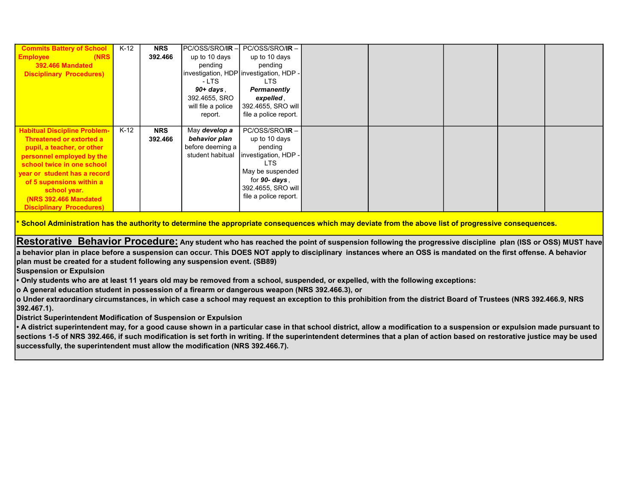| <b>Commits Battery of School</b>    | $K-12$ | <b>NRS</b> | PC/OSS/SRO/IR-     | $PC/OSS/SRO/IR -$                       |  |  |  |
|-------------------------------------|--------|------------|--------------------|-----------------------------------------|--|--|--|
| <b>Employee</b><br>(NRS             |        | 392.466    | up to 10 days      | up to 10 days                           |  |  |  |
| <b>392.466 Mandated</b>             |        |            | pending            | pending                                 |  |  |  |
| <b>Disciplinary Procedures)</b>     |        |            |                    | investigation, HDP investigation, HDP - |  |  |  |
|                                     |        |            | - LTS              | <b>LTS</b>                              |  |  |  |
|                                     |        |            | $90+days$ ,        | <b>Permanently</b>                      |  |  |  |
|                                     |        |            | 392.4655, SRO      | expelled,                               |  |  |  |
|                                     |        |            | will file a police | 392.4655, SRO will                      |  |  |  |
|                                     |        |            | report.            | file a police report.                   |  |  |  |
|                                     |        |            |                    |                                         |  |  |  |
| <b>Habitual Discipline Problem-</b> | $K-12$ | <b>NRS</b> | May develop a      | $PC/OSS/SRO/IR -$                       |  |  |  |
| Threatened or extorted a            |        | 392.466    | behavior plan      | up to 10 days                           |  |  |  |
| pupil, a teacher, or other          |        |            | before deeming a   | pending                                 |  |  |  |
| personnel employed by the           |        |            | student habitual   | Investigation, HDP -                    |  |  |  |
| school twice in one school          |        |            |                    | LTS.                                    |  |  |  |
| year or student has a record        |        |            |                    | May be suspended                        |  |  |  |
| of 5 supensions within a            |        |            |                    | for 90- days,                           |  |  |  |
| school year.                        |        |            |                    | 392.4655, SRO will                      |  |  |  |
| <b>(NRS 392.466 Mandated)</b>       |        |            |                    | file a police report.                   |  |  |  |
| <b>Disciplinary Procedures)</b>     |        |            |                    |                                         |  |  |  |

<u>.</u><br>School Administration has the authority to determine the appropriate consequences which may deviate from the above list of progressive consequences.

Restorative Behavior Procedure: Any student who has reached the point of suspension following the progressive discipline plan (ISS or OSS) MUST have a behavior plan in place before a suspension can occur. This DOES NOT apply to disciplinary instances where an OSS is mandated on the first offense. A behavior plan must be created for a student following any suspension event. (SB89)

Suspension or Expulsion

• Only students who are at least 11 years old may be removed from a school, suspended, or expelled, with the following exceptions:

o A general education student in possession of a firearm or dangerous weapon (NRS 392.466.3), or

o Under extraordinary circumstances, in which case a school may request an exception to this prohibition from the district Board of Trustees (NRS 392.466.9, NRS 392.467.1).

District Superintendent Modification of Suspension or Expulsion

• A district superintendent may, for a good cause shown in a particular case in that school district, allow a modification to a suspension or expulsion made pursuant to sections 1-5 of NRS 392.466, if such modification is set forth in writing. If the superintendent determines that a plan of action based on restorative justice may be used successfully, the superintendent must allow the modification (NRS 392.466.7).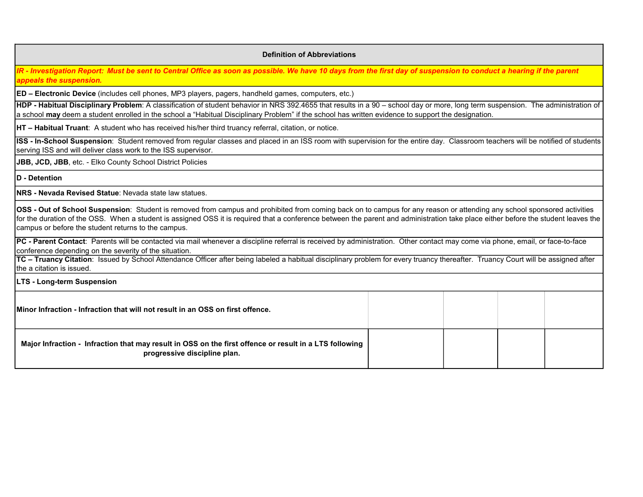## Definition of Abbreviations

IR - Investigation Report: Must be sent to Central Office as soon as possible. We have 10 days from the first day of suspension to conduct a hearing if the parent appeals the suspension.

ED – Electronic Device (includes cell phones, MP3 players, pagers, handheld games, computers, etc.)

HDP - Habitual Disciplinary Problem: A classification of student behavior in NRS 392.4655 that results in a 90 – school day or more, long term suspension. The administration of a school may deem a student enrolled in the school a "Habitual Disciplinary Problem" if the school has written evidence to support the designation.

HT – Habitual Truant: A student who has received his/her third truancy referral, citation, or notice.

ISS - In-School Suspension: Student removed from regular classes and placed in an ISS room with supervision for the entire day. Classroom teachers will be notified of students serving ISS and will deliver class work to the ISS supervisor.

JBB, JCD, JBB, etc. - Elko County School District Policies

D - Detention

NRS - Nevada Revised Statue: Nevada state law statues.

OSS - Out of School Suspension: Student is removed from campus and prohibited from coming back on to campus for any reason or attending any school sponsored activities for the duration of the OSS. When a student is assigned OSS it is required that a conference between the parent and administration take place either before the student leaves the campus or before the student returns to the campus.

PC - Parent Contact: Parents will be contacted via mail whenever a discipline referral is received by administration. Other contact may come via phone, email, or face-to-face conference depending on the severity of the situation.

TC - Truancy Citation: Issued by School Attendance Officer after being labeled a habitual disciplinary problem for every truancy thereafter. Truancy Court will be assigned after the a citation is issued.

LTS - Long-term Suspension

Major Infraction - Infraction that may result in OSS on the first offence or result in a LTS following progressive discipline plan. Minor Infraction - Infraction that will not result in an OSS on first offence.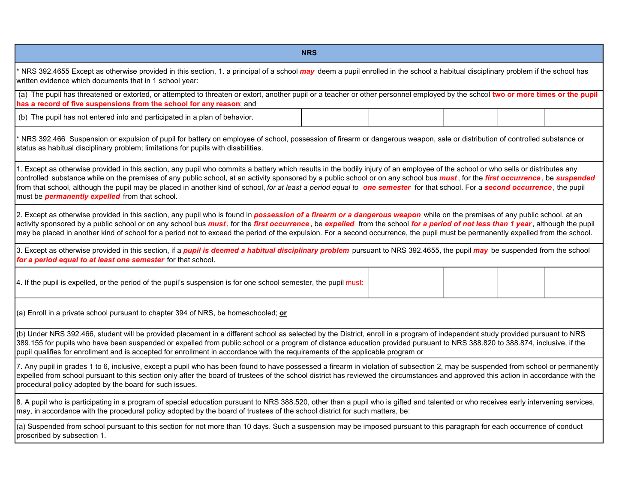| <b>NRS</b>                                                                                                                                                                                                                                                                                                                                                                                                                                                                                                                                                                                                                   |  |  |  |  |  |  |  |  |  |
|------------------------------------------------------------------------------------------------------------------------------------------------------------------------------------------------------------------------------------------------------------------------------------------------------------------------------------------------------------------------------------------------------------------------------------------------------------------------------------------------------------------------------------------------------------------------------------------------------------------------------|--|--|--|--|--|--|--|--|--|
| ' NRS 392.4655 Except as otherwise provided in this section, 1. a principal of a school may deem a pupil enrolled in the school a habitual disciplinary problem if the school has<br>written evidence which documents that in 1 school year:                                                                                                                                                                                                                                                                                                                                                                                 |  |  |  |  |  |  |  |  |  |
| (a) The pupil has threatened or extorted, or attempted to threaten or extort, another pupil or a teacher or other personnel employed by the school two or more times or the pupil<br>has a record of five suspensions from the school for any reason; and                                                                                                                                                                                                                                                                                                                                                                    |  |  |  |  |  |  |  |  |  |
| (b) The pupil has not entered into and participated in a plan of behavior.                                                                                                                                                                                                                                                                                                                                                                                                                                                                                                                                                   |  |  |  |  |  |  |  |  |  |
| NRS 392.466 Suspension or expulsion of pupil for battery on employee of school, possession of firearm or dangerous weapon, sale or distribution of controlled substance or<br>status as habitual disciplinary problem; limitations for pupils with disabilities.                                                                                                                                                                                                                                                                                                                                                             |  |  |  |  |  |  |  |  |  |
| 1. Except as otherwise provided in this section, any pupil who commits a battery which results in the bodily injury of an employee of the school or who sells or distributes any<br>controlled substance while on the premises of any public school, at an activity sponsored by a public school or on any school bus <i>must</i> , for the <i>first occurrence</i> , be suspended<br>from that school, although the pupil may be placed in another kind of school, for at least a period equal to one semester for that school. For a second occurrence, the pupil<br>must be <b>permanently expelled</b> from that school. |  |  |  |  |  |  |  |  |  |
| 2. Except as otherwise provided in this section, any pupil who is found in <b>possession of a firearm or a dangerous weapon</b> while on the premises of any public school, at an<br>activity sponsored by a public school or on any school bus must, for the first occurrence, be expelled from the school for a period of not less than 1 year, although the pupil<br>may be placed in another kind of school for a period not to exceed the period of the expulsion. For a second occurrence, the pupil must be permanently expelled from the school.                                                                     |  |  |  |  |  |  |  |  |  |
| 3. Except as otherwise provided in this section, if a <i>pupil is deemed a habitual disciplinary problem</i> pursuant to NRS 392.4655, the pupil <i>may</i> be suspended from the school<br>for a period equal to at least one semester for that school.                                                                                                                                                                                                                                                                                                                                                                     |  |  |  |  |  |  |  |  |  |
| 4. If the pupil is expelled, or the period of the pupil's suspension is for one school semester, the pupil must:                                                                                                                                                                                                                                                                                                                                                                                                                                                                                                             |  |  |  |  |  |  |  |  |  |
| (a) Enroll in a private school pursuant to chapter 394 of NRS, be homeschooled; or                                                                                                                                                                                                                                                                                                                                                                                                                                                                                                                                           |  |  |  |  |  |  |  |  |  |
| (b) Under NRS 392.466, student will be provided placement in a different school as selected by the District, enroll in a program of independent study provided pursuant to NRS<br>389.155 for pupils who have been suspended or expelled from public school or a program of distance education provided pursuant to NRS 388.820 to 388.874, inclusive, if the<br>pupil qualifies for enrollment and is accepted for enrollment in accordance with the requirements of the applicable program or                                                                                                                              |  |  |  |  |  |  |  |  |  |
| 7. Any pupil in grades 1 to 6, inclusive, except a pupil who has been found to have possessed a firearm in violation of subsection 2, may be suspended from school or permanently<br>expelled from school pursuant to this section only after the board of trustees of the school district has reviewed the circumstances and approved this action in accordance with the<br>procedural policy adopted by the board for such issues.                                                                                                                                                                                         |  |  |  |  |  |  |  |  |  |
| 8. A pupil who is participating in a program of special education pursuant to NRS 388.520, other than a pupil who is gifted and talented or who receives early intervening services,<br>may, in accordance with the procedural policy adopted by the board of trustees of the school district for such matters, be:                                                                                                                                                                                                                                                                                                          |  |  |  |  |  |  |  |  |  |
| (a) Suspended from school pursuant to this section for not more than 10 days. Such a suspension may be imposed pursuant to this paragraph for each occurrence of conduct<br>proscribed by subsection 1.                                                                                                                                                                                                                                                                                                                                                                                                                      |  |  |  |  |  |  |  |  |  |